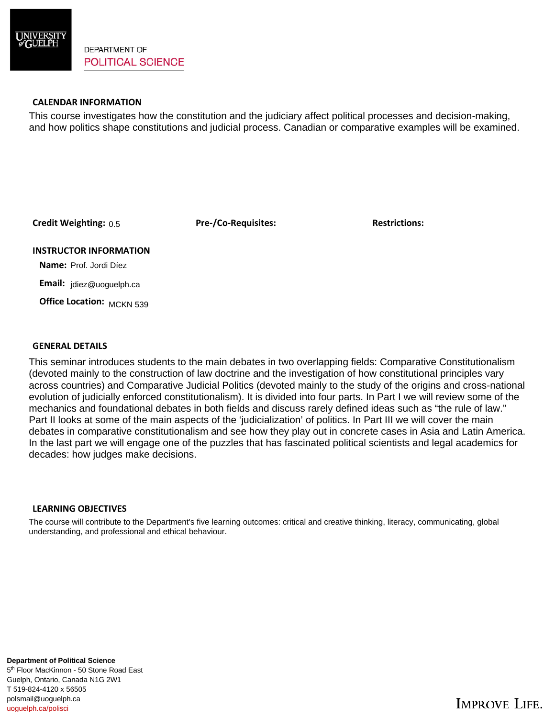

# **CALENDAR INFORMATION**

This course investigates how the constitution and the judiciary affect political processes and decision-making, and how politics shape constitutions and judicial process. Canadian or comparative examples will be examined.

**Credit Weighting: Pre-/Co-Requisites: Restrictions:** 0.5

### **INSTRUCTOR INFORMATION**

 **Name:** Prof. Jordi Díez

 **Email:** jdiez@uoguelph.ca

 **Office Location:**  MCKN 539

### **GENERAL DETAILS**

This seminar introduces students to the main debates in two overlapping fields: Comparative Constitutionalism (devoted mainly to the construction of law doctrine and the investigation of how constitutional principles vary across countries) and Comparative Judicial Politics (devoted mainly to the study of the origins and cross-national evolution of judicially enforced constitutionalism). It is divided into four parts. In Part I we will review some of the mechanics and foundational debates in both fields and discuss rarely defined ideas such as "the rule of law." Part II looks at some of the main aspects of the 'judicialization' of politics. In Part III we will cover the main debates in comparative constitutionalism and see how they play out in concrete cases in Asia and Latin America. In the last part we will engage one of the puzzles that has fascinated political scientists and legal academics for decades: how judges make decisions.

# **LEARNING OBJECTIVES**

The course will contribute to the Department's five learning outcomes: critical and creative thinking, literacy, communicating, global understanding, and professional and ethical behaviour.